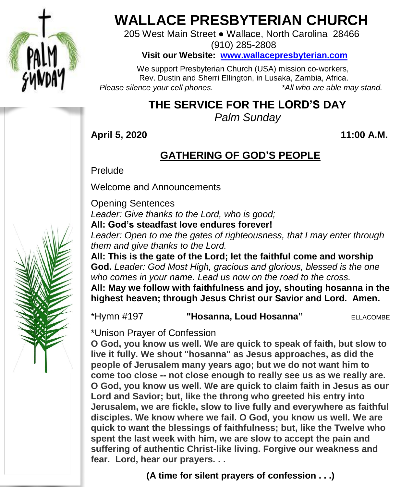

# **WALLACE PRESBYTERIAN CHURCH**

205 West Main Street ● Wallace, North Carolina 28466 (910) 285-2808

#### **Visit our Website: [www.wallacepresbyterian.com](http://www.wallacepresbyterian.com/)**

 We support Presbyterian Church (USA) mission co-workers, Rev. Dustin and Sherri Ellington, in Lusaka, Zambia, Africa. *Please silence your cell phones. \*All who are able may stand.*

## **THE SERVICE FOR THE LORD'S DAY**

*Palm Sunday*

**April 5, 2020 11:00 A.M.**

## **GATHERING OF GOD'S PEOPLE**

Prelude

Welcome and Announcements

Opening Sentences *Leader: Give thanks to the Lord, who is good;* **All: God's steadfast love endures forever!**

*Leader: Open to me the gates of righteousness, that I may enter through them and give thanks to the Lord.*

**All: This is the gate of the Lord; let the faithful come and worship God.** *Leader: God Most High, gracious and glorious, blessed is the one who comes in your name. Lead us now on the road to the cross.*

**All: May we follow with faithfulness and joy, shouting hosanna in the highest heaven; through Jesus Christ our Savior and Lord. Amen.**

\*Hymn #197 **"Hosanna, Loud Hosanna"** ELLACOMBE

\*Unison Prayer of Confession

**O God, you know us well. We are quick to speak of faith, but slow to live it fully. We shout "hosanna" as Jesus approaches, as did the people of Jerusalem many years ago; but we do not want him to come too close -- not close enough to really see us as we really are. O God, you know us well. We are quick to claim faith in Jesus as our Lord and Savior; but, like the throng who greeted his entry into Jerusalem, we are fickle, slow to live fully and everywhere as faithful disciples. We know where we fail. O God, you know us well. We are quick to want the blessings of faithfulness; but, like the Twelve who spent the last week with him, we are slow to accept the pain and suffering of authentic Christ-like living. Forgive our weakness and fear. Lord, hear our prayers. . .**

**(A time for silent prayers of confession . . .)**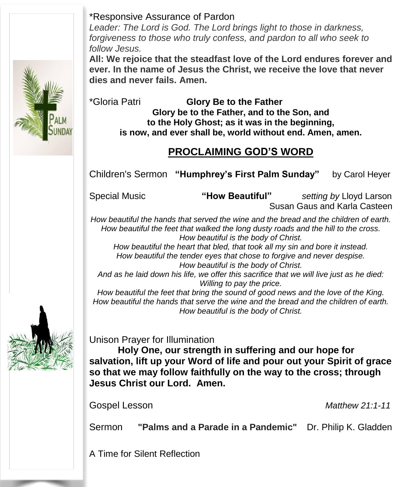#### \*Responsive Assurance of Pardon

*Leader: The Lord is God. The Lord brings light to those in darkness, forgiveness to those who truly confess, and pardon to all who seek to follow Jesus.*

**All: We rejoice that the steadfast love of the Lord endures forever and ever. In the name of Jesus the Christ, we receive the love that never dies and never fails. Amen.**

\*Gloria Patri **Glory Be to the Father Glory be to the Father, and to the Son, and to the Holy Ghost; as it was in the beginning, is now, and ever shall be, world without end. Amen, amen.**

### **PROCLAIMING GOD'S WORD**

Children's Sermon **"Humphrey's First Palm Sunday"** by Carol Heyer

Special Music **"How Beautiful"** *setting by* Lloyd Larson Susan Gaus and Karla Casteen

*How beautiful the hands that served the wine and the bread and the children of earth. How beautiful the feet that walked the long dusty roads and the hill to the cross. How beautiful is the body of Christ.*

*How beautiful the heart that bled, that took all my sin and bore it instead. How beautiful the tender eyes that chose to forgive and never despise. How beautiful is the body of Christ.*

*And as he laid down his life, we offer this sacrifice that we will live just as he died: Willing to pay the price.*

*How beautiful the feet that bring the sound of good news and the love of the King. How beautiful the hands that serve the wine and the bread and the children of earth. How beautiful is the body of Christ.*



Unison Prayer for Illumination

**Holy One, our strength in suffering and our hope for salvation, lift up your Word of life and pour out your Spirit of grace so that we may follow faithfully on the way to the cross; through Jesus Christ our Lord. Amen.**

Gospel Lesson *Matthew 21:1-11*

Sermon **"Palms and a Parade in a Pandemic"** Dr. Philip K. Gladden

A Time for Silent Reflection

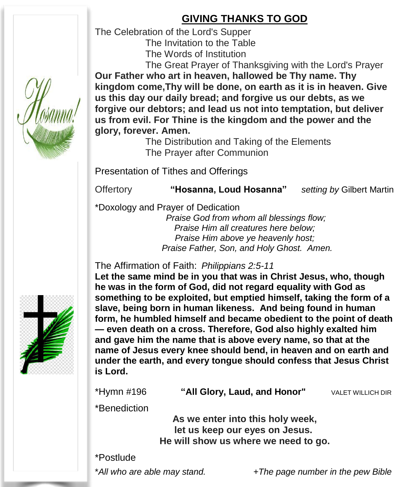## **GIVING THANKS TO GOD**

The Celebration of the Lord's Supper The Invitation to the Table The Words of Institution

ì  The Great Prayer of Thanksgiving with the Lord's Prayer **Our Father who art in heaven, hallowed be Thy name. Thy kingdom come,Thy will be done, on earth as it is in heaven. Give us this day our daily bread; and forgive us our debts, as we forgive our debtors; and lead us not into temptation, but deliver us from evil. For Thine is the kingdom and the power and the glory, forever. Amen.**

The Distribution and Taking of the Elements The Prayer after Communion

Presentation of Tithes and Offerings

**Offertory "Hosanna, Loud Hosanna"** *setting by* Gilbert Martin

\*Doxology and Prayer of Dedication

*Praise God from whom all blessings flow; Praise Him all creatures here below; Praise Him above ye heavenly host; Praise Father, Son, and Holy Ghost. Amen.*

The Affirmation of Faith: *Philippians 2:5-11*



**Let the same mind be in you that was in Christ Jesus, who, though he was in the form of God, did not regard equality with God as something to be exploited, but emptied himself, taking the form of a slave, being born in human likeness. And being found in human form, he humbled himself and became obedient to the point of death — even death on a cross. Therefore, God also highly exalted him and gave him the name that is above every name, so that at the name of Jesus every knee should bend, in heaven and on earth and under the earth, and every tongue should confess that Jesus Christ is Lord.**

\*Hymn #196 **"All Glory, Laud, and Honor"** VALET WILLICH DIR

\*Benediction

**As we enter into this holy week, let us keep our eyes on Jesus. He will show us where we need to go.**

\*Postlude

\**All who are able may stand. +The page number in the pew Bible*